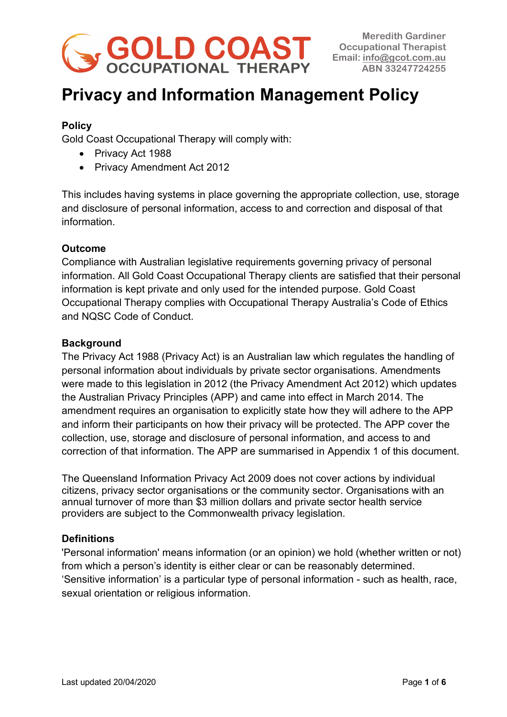

# **Privacy and Information Management Policy**

# **Policy**

Gold Coast Occupational Therapy will comply with:

- Privacy Act 1988
- Privacy Amendment Act 2012

This includes having systems in place governing the appropriate collection, use, storage and disclosure of personal information, access to and correction and disposal of that information.

## **Outcome**

Compliance with Australian legislative requirements governing privacy of personal information. All Gold Coast Occupational Therapy clients are satisfied that their personal information is kept private and only used for the intended purpose. Gold Coast Occupational Therapy complies with Occupational Therapy Australia's Code of Ethics and NQSC Code of Conduct.

## **Background**

The Privacy Act 1988 (Privacy Act) is an Australian law which regulates the handling of personal information about individuals by private sector organisations. Amendments were made to this legislation in 2012 (the Privacy Amendment Act 2012) which updates the Australian Privacy Principles (APP) and came into effect in March 2014. The amendment requires an organisation to explicitly state how they will adhere to the APP and inform their participants on how their privacy will be protected. The APP cover the collection, use, storage and disclosure of personal information, and access to and correction of that information. The APP are summarised in Appendix 1 of this document.

The Queensland Information Privacy Act 2009 does not cover actions by individual citizens, privacy sector organisations or the community sector. Organisations with an annual turnover of more than \$3 million dollars and private sector health service providers are subject to the Commonwealth privacy legislation.

## **Definitions**

'Personal information' means information (or an opinion) we hold (whether written or not) from which a person's identity is either clear or can be reasonably determined. 'Sensitive information' is a particular type of personal information - such as health, race, sexual orientation or religious information.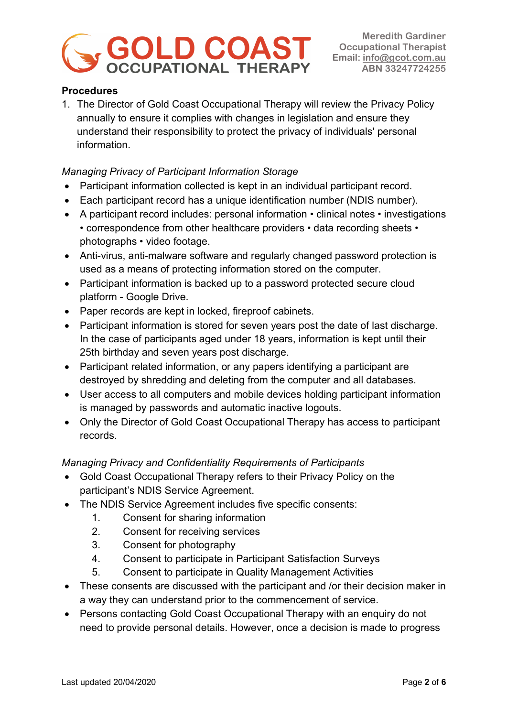

## **Procedures**

1. The Director of Gold Coast Occupational Therapy will review the Privacy Policy annually to ensure it complies with changes in legislation and ensure they understand their responsibility to protect the privacy of individuals' personal information.

## *Managing Privacy of Participant Information Storage*

- Participant information collected is kept in an individual participant record.
- Each participant record has a unique identification number (NDIS number).
- A participant record includes: personal information clinical notes investigations • correspondence from other healthcare providers • data recording sheets • photographs • video footage.
- Anti-virus, anti-malware software and regularly changed password protection is used as a means of protecting information stored on the computer.
- Participant information is backed up to a password protected secure cloud platform - Google Drive.
- Paper records are kept in locked, fireproof cabinets.
- Participant information is stored for seven years post the date of last discharge. In the case of participants aged under 18 years, information is kept until their 25th birthday and seven years post discharge.
- Participant related information, or any papers identifying a participant are destroyed by shredding and deleting from the computer and all databases.
- User access to all computers and mobile devices holding participant information is managed by passwords and automatic inactive logouts.
- Only the Director of Gold Coast Occupational Therapy has access to participant records.

# *Managing Privacy and Confidentiality Requirements of Participants*

- Gold Coast Occupational Therapy refers to their Privacy Policy on the participant's NDIS Service Agreement.
- The NDIS Service Agreement includes five specific consents:
	- 1. Consent for sharing information
	- 2. Consent for receiving services
	- 3. Consent for photography
	- 4. Consent to participate in Participant Satisfaction Surveys
	- 5. Consent to participate in Quality Management Activities
- These consents are discussed with the participant and /or their decision maker in a way they can understand prior to the commencement of service.
- Persons contacting Gold Coast Occupational Therapy with an enquiry do not need to provide personal details. However, once a decision is made to progress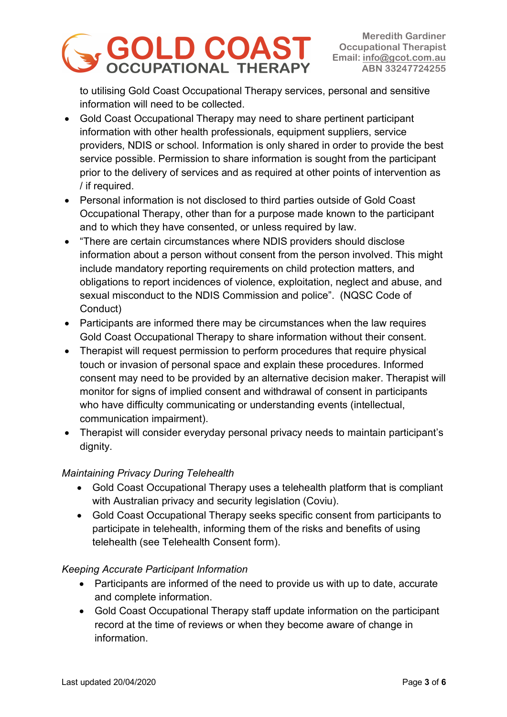

to utilising Gold Coast Occupational Therapy services, personal and sensitive information will need to be collected.

- Gold Coast Occupational Therapy may need to share pertinent participant information with other health professionals, equipment suppliers, service providers, NDIS or school. Information is only shared in order to provide the best service possible. Permission to share information is sought from the participant prior to the delivery of services and as required at other points of intervention as / if required.
- Personal information is not disclosed to third parties outside of Gold Coast Occupational Therapy, other than for a purpose made known to the participant and to which they have consented, or unless required by law.
- "There are certain circumstances where NDIS providers should disclose information about a person without consent from the person involved. This might include mandatory reporting requirements on child protection matters, and obligations to report incidences of violence, exploitation, neglect and abuse, and sexual misconduct to the NDIS Commission and police". (NQSC Code of Conduct)
- Participants are informed there may be circumstances when the law requires Gold Coast Occupational Therapy to share information without their consent.
- Therapist will request permission to perform procedures that require physical touch or invasion of personal space and explain these procedures. Informed consent may need to be provided by an alternative decision maker. Therapist will monitor for signs of implied consent and withdrawal of consent in participants who have difficulty communicating or understanding events (intellectual, communication impairment).
- Therapist will consider everyday personal privacy needs to maintain participant's dignity.

# *Maintaining Privacy During Telehealth*

- Gold Coast Occupational Therapy uses a telehealth platform that is compliant with Australian privacy and security legislation (Coviu).
- Gold Coast Occupational Therapy seeks specific consent from participants to participate in telehealth, informing them of the risks and benefits of using telehealth (see Telehealth Consent form).

# *Keeping Accurate Participant Information*

- Participants are informed of the need to provide us with up to date, accurate and complete information.
- Gold Coast Occupational Therapy staff update information on the participant record at the time of reviews or when they become aware of change in information.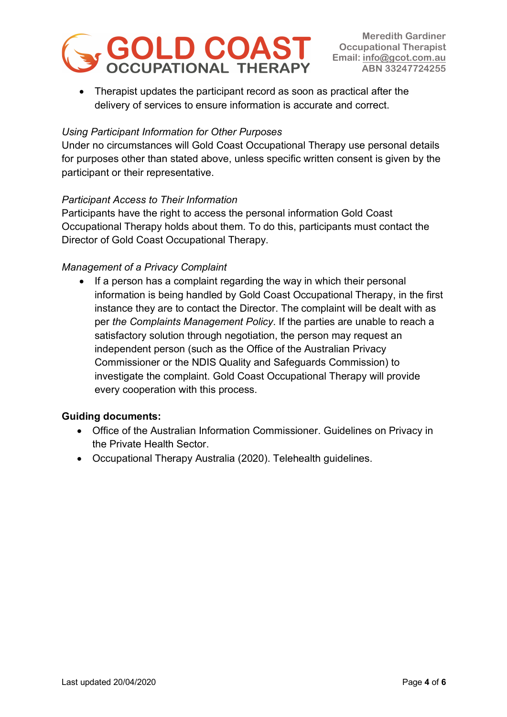

• Therapist updates the participant record as soon as practical after the delivery of services to ensure information is accurate and correct.

## *Using Participant Information for Other Purposes*

Under no circumstances will Gold Coast Occupational Therapy use personal details for purposes other than stated above, unless specific written consent is given by the participant or their representative.

#### *Participant Access to Their Information*

Participants have the right to access the personal information Gold Coast Occupational Therapy holds about them. To do this, participants must contact the Director of Gold Coast Occupational Therapy.

#### *Management of a Privacy Complaint*

• If a person has a complaint regarding the way in which their personal information is being handled by Gold Coast Occupational Therapy, in the first instance they are to contact the Director. The complaint will be dealt with as per *the Complaints Management Policy*. If the parties are unable to reach a satisfactory solution through negotiation, the person may request an independent person (such as the Office of the Australian Privacy Commissioner or the NDIS Quality and Safeguards Commission) to investigate the complaint. Gold Coast Occupational Therapy will provide every cooperation with this process.

## **Guiding documents:**

- Office of the Australian Information Commissioner. Guidelines on Privacy in the Private Health Sector.
- Occupational Therapy Australia (2020). Telehealth guidelines.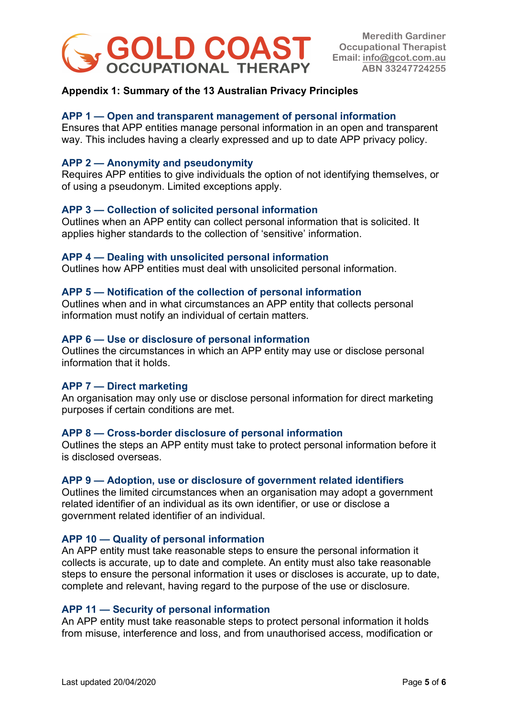

## **Appendix 1: Summary of the 13 Australian Privacy Principles**

## **APP 1 — Open and transparent management of personal information**

Ensures that APP entities manage personal information in an open and transparent way. This includes having a clearly expressed and up to date APP privacy policy.

#### **APP 2 — Anonymity and pseudonymity**

Requires APP entities to give individuals the option of not identifying themselves, or of using a pseudonym. Limited exceptions apply.

#### **APP 3 — Collection of solicited personal information**

Outlines when an APP entity can collect personal information that is solicited. It applies higher standards to the collection of 'sensitive' information.

#### **APP 4 — Dealing with unsolicited personal information**

Outlines how APP entities must deal with unsolicited personal information.

#### **APP 5 — Notification of the collection of personal information**

Outlines when and in what circumstances an APP entity that collects personal information must notify an individual of certain matters.

#### **APP 6 — Use or disclosure of personal information**

Outlines the circumstances in which an APP entity may use or disclose personal information that it holds.

#### **APP 7 — Direct marketing**

An organisation may only use or disclose personal information for direct marketing purposes if certain conditions are met.

#### **APP 8 — Cross-border disclosure of personal information**

Outlines the steps an APP entity must take to protect personal information before it is disclosed overseas.

#### **APP 9 — Adoption, use or disclosure of government related identifiers**

Outlines the limited circumstances when an organisation may adopt a government related identifier of an individual as its own identifier, or use or disclose a government related identifier of an individual.

#### **APP 10 — Quality of personal information**

An APP entity must take reasonable steps to ensure the personal information it collects is accurate, up to date and complete. An entity must also take reasonable steps to ensure the personal information it uses or discloses is accurate, up to date, complete and relevant, having regard to the purpose of the use or disclosure.

#### **APP 11 — Security of personal information**

An APP entity must take reasonable steps to protect personal information it holds from misuse, interference and loss, and from unauthorised access, modification or